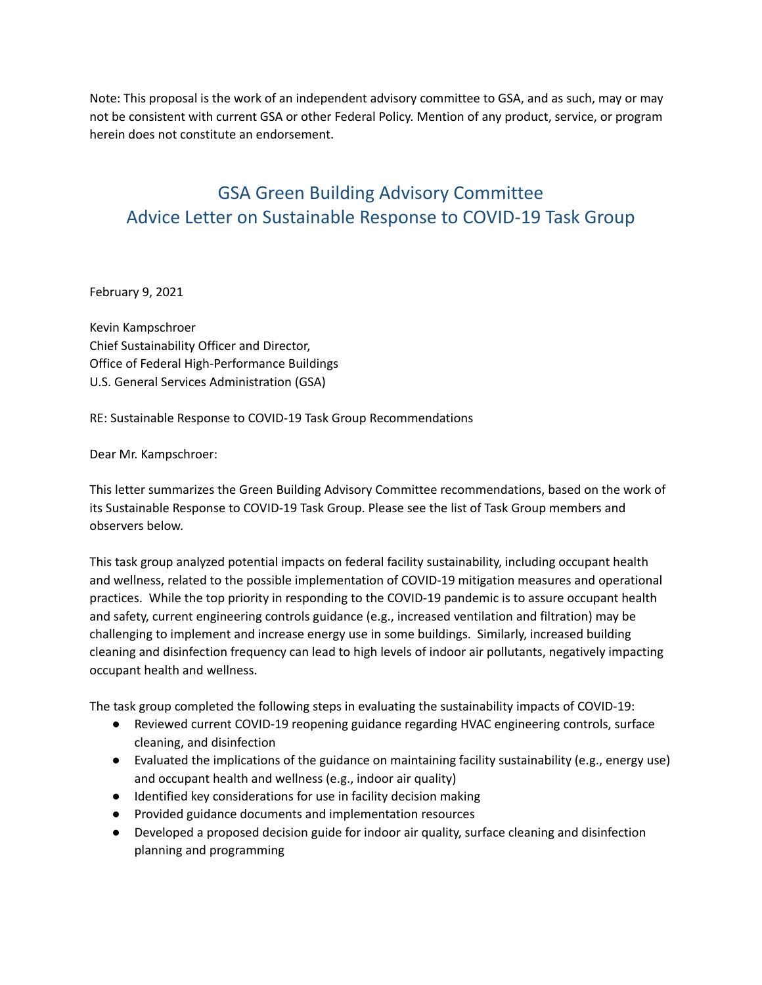Note: This proposal is the work of an independent advisory committee to GSA, and as such, may or may not be consistent with current GSA or other Federal Policy. Mention of any product, service, or program herein does not constitute an endorsement.

# GSA Green Building Advisory Committee Advice Letter on Sustainable Response to COVID-19 Task Group

February 9, 2021

 Chief Sustainability Officer and Director, Office of Federal High-Performance Buildings U.S. General Services Administration (GSA) Kevin Kampschroer

RE: Sustainable Response to COVID-19 Task Group Recommendations

Dear Mr. Kampschroer:

 This letter summarizes the Green Building Advisory Committee recommendations, based on the work of its Sustainable Response to COVID-19 Task Group. Please see the list of Task Group members and observers below.

 This task group analyzed potential impacts on federal facility sustainability, including occupant health and wellness, related to the possible implementation of COVID-19 mitigation measures and operational practices. While the top priority in responding to the COVID-19 pandemic is to assure occupant health and safety, current engineering controls guidance (e.g., increased ventilation and filtration) may be challenging to implement and increase energy use in some buildings. Similarly, increased building cleaning and disinfection frequency can lead to high levels of indoor air pollutants, negatively impacting occupant health and wellness.

The task group completed the following steps in evaluating the sustainability impacts of COVID-19:

- ● Reviewed current COVID-19 reopening guidance regarding HVAC engineering controls, surface cleaning, and disinfection
- ● Evaluated the implications of the guidance on maintaining facility sustainability (e.g., energy use) and occupant health and wellness (e.g., indoor air quality)
- Identified key considerations for use in facility decision making
- Provided guidance documents and implementation resources
- ● Developed a proposed decision guide for indoor air quality, surface cleaning and disinfection planning and programming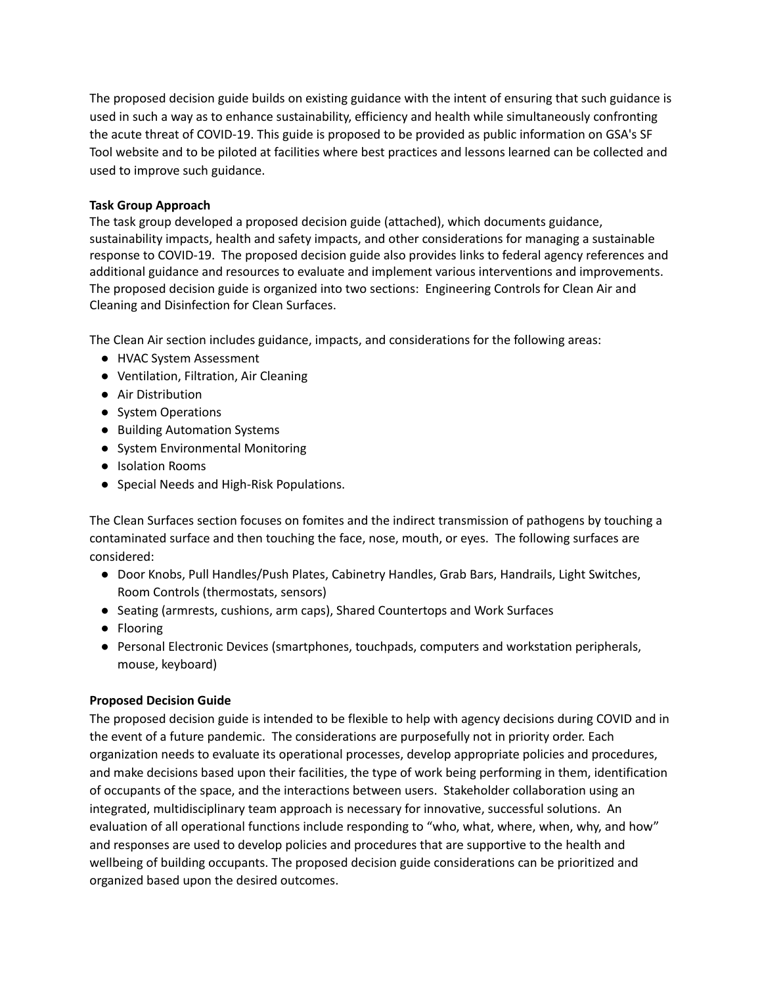The proposed decision guide builds on existing guidance with the intent of ensuring that such guidance is used in such a way as to enhance sustainability, efficiency and health while simultaneously confronting the acute threat of COVID-19. This guide is proposed to be provided as public information on GSA's SF Tool website and to be piloted at facilities where best practices and lessons learned can be collected and used to improve such guidance.

### **Task Group Approach**

 The task group developed a proposed decision guide (attached), which documents guidance, sustainability impacts, health and safety impacts, and other considerations for managing a sustainable response to COVID-19. The proposed decision guide also provides links to federal agency references and additional guidance and resources to evaluate and implement various interventions and improvements. The proposed decision guide is organized into two sections: Engineering Controls for Clean Air and Cleaning and Disinfection for Clean Surfaces.

The Clean Air section includes guidance, impacts, and considerations for the following areas:

- HVAC System Assessment
- Ventilation, Filtration, Air Cleaning
- Air Distribution
- System Operations
- Building Automation Systems
- System Environmental Monitoring
- Isolation Rooms
- Special Needs and High-Risk Populations.

 The Clean Surfaces section focuses on fomites and the indirect transmission of pathogens by touching a contaminated surface and then touching the face, nose, mouth, or eyes. The following surfaces are considered:

- ● Door Knobs, Pull Handles/Push Plates, Cabinetry Handles, Grab Bars, Handrails, Light Switches, Room Controls (thermostats, sensors)
- Seating (armrests, cushions, arm caps), Shared Countertops and Work Surfaces
- Flooring
- ● Personal Electronic Devices (smartphones, touchpads, computers and workstation peripherals, mouse, keyboard)

## **Proposed Decision Guide**

 The proposed decision guide is intended to be flexible to help with agency decisions during COVID and in the event of a future pandemic. The considerations are purposefully not in priority order. Each organization needs to evaluate its operational processes, develop appropriate policies and procedures, and make decisions based upon their facilities, the type of work being performing in them, identification of occupants of the space, and the interactions between users. Stakeholder collaboration using an integrated, multidisciplinary team approach is necessary for innovative, successful solutions. An evaluation of all operational functions include responding to "who, what, where, when, why, and how" and responses are used to develop policies and procedures that are supportive to the health and wellbeing of building occupants. The proposed decision guide considerations can be prioritized and organized based upon the desired outcomes.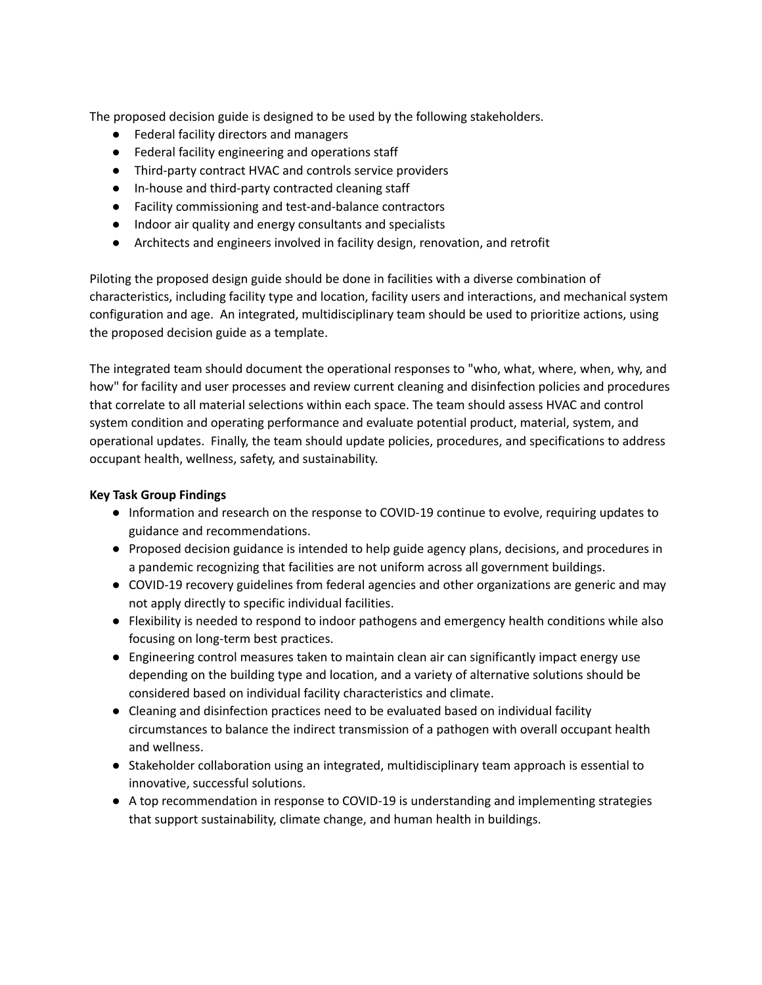The proposed decision guide is designed to be used by the following stakeholders.

- Federal facility directors and managers
- Federal facility engineering and operations staff
- Third-party contract HVAC and controls service providers
- In-house and third-party contracted cleaning staff
- Facility commissioning and test-and-balance contractors
- Indoor air quality and energy consultants and specialists
- **●** Architects and engineers involved in facility design, renovation, and retrofit

 Piloting the proposed design guide should be done in facilities with a diverse combination of characteristics, including facility type and location, facility users and interactions, and mechanical system configuration and age. An integrated, multidisciplinary team should be used to prioritize actions, using the proposed decision guide as a template.

 The integrated team should document the operational responses to "who, what, where, when, why, and how" for facility and user processes and review current cleaning and disinfection policies and procedures that correlate to all material selections within each space. The team should assess HVAC and control system condition and operating performance and evaluate potential product, material, system, and operational updates. Finally, the team should update policies, procedures, and specifications to address occupant health, wellness, safety, and sustainability.

#### **Key Task Group Findings**

- ● Information and research on the response to COVID-19 continue to evolve, requiring updates to guidance and recommendations.
- ● Proposed decision guidance is intended to help guide agency plans, decisions, and procedures in a pandemic recognizing that facilities are not uniform across all government buildings.
- ● COVID-19 recovery guidelines from federal agencies and other organizations are generic and may not apply directly to specific individual facilities.
- ● Flexibility is needed to respond to indoor pathogens and emergency health conditions while also focusing on long-term best practices.
- ● Engineering control measures taken to maintain clean air can significantly impact energy use depending on the building type and location, and a variety of alternative solutions should be considered based on individual facility characteristics and climate.
- ● Cleaning and disinfection practices need to be evaluated based on individual facility circumstances to balance the indirect transmission of a pathogen with overall occupant health and wellness.
- ● Stakeholder collaboration using an integrated, multidisciplinary team approach is essential to innovative, successful solutions.
- ● A top recommendation in response to COVID-19 is understanding and implementing strategies that support sustainability, climate change, and human health in buildings.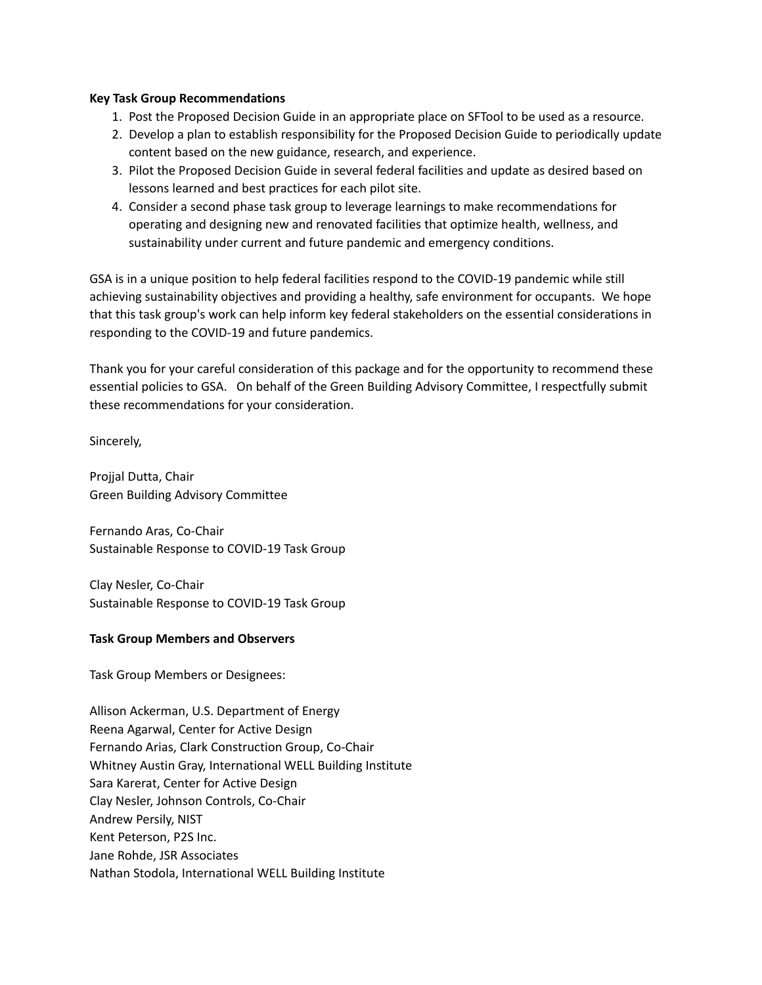#### **Key Task Group Recommendations**

- 1. Post the Proposed Decision Guide in an appropriate place on SFTool to be used as a resource.
- 2. Develop a plan to establish responsibility for the Proposed Decision Guide to periodically update content based on the new guidance, research, and experience.
- 3. Pilot the Proposed Decision Guide in several federal facilities and update as desired based on lessons learned and best practices for each pilot site.
- 4. Consider a second phase task group to leverage learnings to make recommendations for operating and designing new and renovated facilities that optimize health, wellness, and sustainability under current and future pandemic and emergency conditions.

 GSA is in a unique position to help federal facilities respond to the COVID-19 pandemic while still achieving sustainability objectives and providing a healthy, safe environment for occupants. We hope that this task group's work can help inform key federal stakeholders on the essential considerations in responding to the COVID-19 and future pandemics.

 Thank you for your careful consideration of this package and for the opportunity to recommend these essential policies to GSA. On behalf of the Green Building Advisory Committee, I respectfully submit these recommendations for your consideration.

Sincerely,

 Projjal Dutta, Chair Green Building Advisory Committee

 Fernando Aras, Co-Chair Sustainable Response to COVID-19 Task Group

 Clay Nesler, Co-Chair Sustainable Response to COVID-19 Task Group

#### **Task Group Members and Observers**

Task Group Members or Designees:

 Allison Ackerman, U.S. Department of Energy Reena Agarwal, Center for Active Design Fernando Arias, Clark Construction Group, Co-Chair Whitney Austin Gray, International WELL Building Institute Sara Karerat, Center for Active Design Clay Nesler, Johnson Controls, Co-Chair Andrew Persily, NIST Kent Peterson, P2S Inc. Jane Rohde, JSR Associates Nathan Stodola, International WELL Building Institute